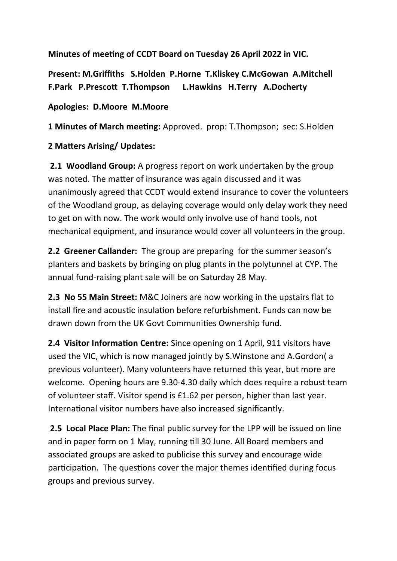**Minutes of meeting of CCDT Board on Tuesday 26 April 2022 in VIC.**

**Present: M.Griffiths S.Holden P.Horne T.Kliskey C.McGowan A.Mitchell F.Park P.Prescott T.Thompson L.Hawkins H.Terry A.Docherty** 

**Apologies: D.Moore M.Moore**

**1 Minutes of March meeting:** Approved. prop: T.Thompson; sec: S.Holden

## **2 Matters Arising/ Updates:**

 **2.1 Woodland Group:** A progress report on work undertaken by the group was noted. The matter of insurance was again discussed and it was unanimously agreed that CCDT would extend insurance to cover the volunteers of the Woodland group, as delaying coverage would only delay work they need to get on with now. The work would only involve use of hand tools, not mechanical equipment, and insurance would cover all volunteers in the group.

**2.2 Greener Callander:** The group are preparing for the summer season's planters and baskets by bringing on plug plants in the polytunnel at CYP. The annual fund-raising plant sale will be on Saturday 28 May.

**2.3 No 55 Main Street:** M&C Joiners are now working in the upstairs flat to install fire and acoustic insulation before refurbishment. Funds can now be drawn down from the UK Govt Communities Ownership fund.

**2.4 Visitor Information Centre:** Since opening on 1 April, 911 visitors have used the VIC, which is now managed jointly by S.Winstone and A.Gordon( a previous volunteer). Many volunteers have returned this year, but more are welcome. Opening hours are 9.30-4.30 daily which does require a robust team of volunteer staff. Visitor spend is £1.62 per person, higher than last year. International visitor numbers have also increased significantly.

 **2.5 Local Place Plan:** The final public survey for the LPP will be issued on line and in paper form on 1 May, running till 30 June. All Board members and associated groups are asked to publicise this survey and encourage wide participation. The questions cover the major themes identified during focus groups and previous survey.